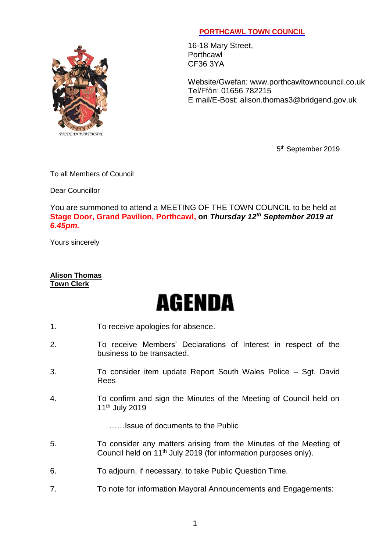## PRIDE IN PORTHCAWL

## **PORTHCAWL TOWN COUNCIL**

16-18 Mary Street, **Porthcawl** CF36 3YA

Website/Gwefan: [www.porthcawltowncouncil.co.uk](http://www.porthcawltowncouncil.co.uk/) Tel/Ffôn: 01656 782215 E mail/E-Bost: alison.thomas3@bridgend.gov.uk

5<sup>th</sup> September 2019

To all Members of Council

Dear Councillor

You are summoned to attend a MEETING OF THE TOWN COUNCIL to be held at **Stage Door, Grand Pavilion, Porthcawl, on** *Thursday 12th September 2019 at 6.45pm.*

Yours sincerely

## **Alison Thomas Town Clerk**

## **AGENDA**

- 1. To receive apologies for absence.
- 2. To receive Members' Declarations of Interest in respect of the business to be transacted.
- 3. To consider item update Report South Wales Police Sgt. David Rees
- 4. To confirm and sign the Minutes of the Meeting of Council held on 11th July 2019

……Issue of documents to the Public

- 5. To consider any matters arising from the Minutes of the Meeting of Council held on 11th July 2019 (for information purposes only).
- 6. To adjourn, if necessary, to take Public Question Time.
- 7. To note for information Mayoral Announcements and Engagements: